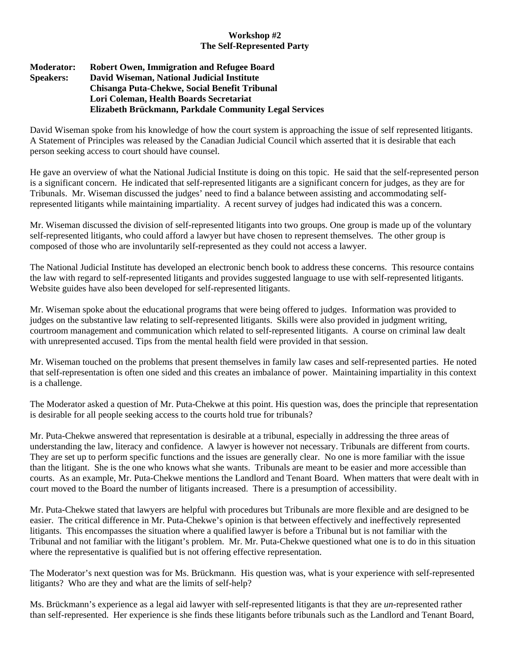## **Workshop #2 The Self-Represented Party**

## **Moderator: Robert Owen, Immigration and Refugee Board Speakers: David Wiseman, National Judicial Institute Chisanga Puta-Chekwe, Social Benefit Tribunal Lori Coleman, Health Boards Secretariat Elizabeth Brückmann, Parkdale Community Legal Services**

David Wiseman spoke from his knowledge of how the court system is approaching the issue of self represented litigants. A Statement of Principles was released by the Canadian Judicial Council which asserted that it is desirable that each person seeking access to court should have counsel.

He gave an overview of what the National Judicial Institute is doing on this topic. He said that the self-represented person is a significant concern. He indicated that self-represented litigants are a significant concern for judges, as they are for Tribunals. Mr. Wiseman discussed the judges' need to find a balance between assisting and accommodating selfrepresented litigants while maintaining impartiality. A recent survey of judges had indicated this was a concern.

Mr. Wiseman discussed the division of self-represented litigants into two groups. One group is made up of the voluntary self-represented litigants, who could afford a lawyer but have chosen to represent themselves. The other group is composed of those who are involuntarily self-represented as they could not access a lawyer.

The National Judicial Institute has developed an electronic bench book to address these concerns. This resource contains the law with regard to self-represented litigants and provides suggested language to use with self-represented litigants. Website guides have also been developed for self-represented litigants.

Mr. Wiseman spoke about the educational programs that were being offered to judges. Information was provided to judges on the substantive law relating to self-represented litigants. Skills were also provided in judgment writing, courtroom management and communication which related to self-represented litigants. A course on criminal law dealt with unrepresented accused. Tips from the mental health field were provided in that session.

Mr. Wiseman touched on the problems that present themselves in family law cases and self-represented parties. He noted that self-representation is often one sided and this creates an imbalance of power. Maintaining impartiality in this context is a challenge.

The Moderator asked a question of Mr. Puta-Chekwe at this point. His question was, does the principle that representation is desirable for all people seeking access to the courts hold true for tribunals?

Mr. Puta-Chekwe answered that representation is desirable at a tribunal, especially in addressing the three areas of understanding the law, literacy and confidence. A lawyer is however not necessary. Tribunals are different from courts. They are set up to perform specific functions and the issues are generally clear. No one is more familiar with the issue than the litigant. She is the one who knows what she wants. Tribunals are meant to be easier and more accessible than courts. As an example, Mr. Puta-Chekwe mentions the Landlord and Tenant Board. When matters that were dealt with in court moved to the Board the number of litigants increased. There is a presumption of accessibility.

Mr. Puta-Chekwe stated that lawyers are helpful with procedures but Tribunals are more flexible and are designed to be easier. The critical difference in Mr. Puta-Chekwe's opinion is that between effectively and ineffectively represented litigants. This encompasses the situation where a qualified lawyer is before a Tribunal but is not familiar with the Tribunal and not familiar with the litigant's problem. Mr. Mr. Puta-Chekwe questioned what one is to do in this situation where the representative is qualified but is not offering effective representation.

The Moderator's next question was for Ms. Brückmann. His question was, what is your experience with self-represented litigants? Who are they and what are the limits of self-help?

Ms. Brückmann's experience as a legal aid lawyer with self-represented litigants is that they are *un*-represented rather than self-represented. Her experience is she finds these litigants before tribunals such as the Landlord and Tenant Board,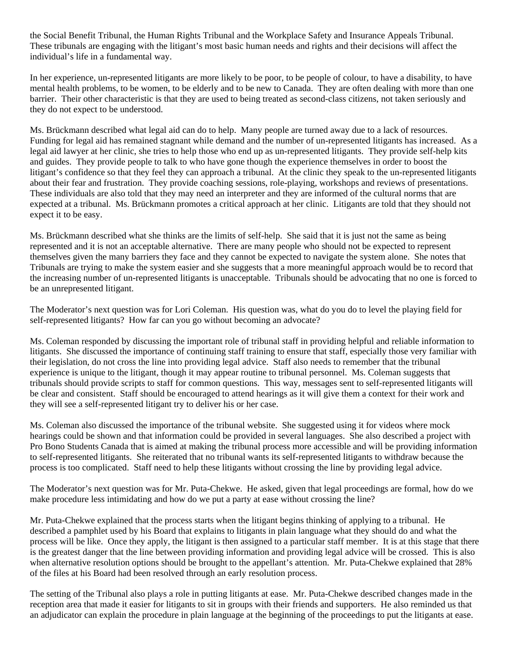the Social Benefit Tribunal, the Human Rights Tribunal and the Workplace Safety and Insurance Appeals Tribunal. These tribunals are engaging with the litigant's most basic human needs and rights and their decisions will affect the individual's life in a fundamental way.

In her experience, un-represented litigants are more likely to be poor, to be people of colour, to have a disability, to have mental health problems, to be women, to be elderly and to be new to Canada. They are often dealing with more than one barrier. Their other characteristic is that they are used to being treated as second-class citizens, not taken seriously and they do not expect to be understood.

Ms. Brückmann described what legal aid can do to help. Many people are turned away due to a lack of resources. Funding for legal aid has remained stagnant while demand and the number of un-represented litigants has increased. As a legal aid lawyer at her clinic, she tries to help those who end up as un-represented litigants. They provide self-help kits and guides. They provide people to talk to who have gone though the experience themselves in order to boost the litigant's confidence so that they feel they can approach a tribunal. At the clinic they speak to the un-represented litigants about their fear and frustration. They provide coaching sessions, role-playing, workshops and reviews of presentations. These individuals are also told that they may need an interpreter and they are informed of the cultural norms that are expected at a tribunal. Ms. Brückmann promotes a critical approach at her clinic. Litigants are told that they should not expect it to be easy.

Ms. Brückmann described what she thinks are the limits of self-help. She said that it is just not the same as being represented and it is not an acceptable alternative. There are many people who should not be expected to represent themselves given the many barriers they face and they cannot be expected to navigate the system alone. She notes that Tribunals are trying to make the system easier and she suggests that a more meaningful approach would be to record that the increasing number of un-represented litigants is unacceptable. Tribunals should be advocating that no one is forced to be an unrepresented litigant.

The Moderator's next question was for Lori Coleman. His question was, what do you do to level the playing field for self-represented litigants? How far can you go without becoming an advocate?

Ms. Coleman responded by discussing the important role of tribunal staff in providing helpful and reliable information to litigants. She discussed the importance of continuing staff training to ensure that staff, especially those very familiar with their legislation, do not cross the line into providing legal advice. Staff also needs to remember that the tribunal experience is unique to the litigant, though it may appear routine to tribunal personnel. Ms. Coleman suggests that tribunals should provide scripts to staff for common questions. This way, messages sent to self-represented litigants will be clear and consistent. Staff should be encouraged to attend hearings as it will give them a context for their work and they will see a self-represented litigant try to deliver his or her case.

Ms. Coleman also discussed the importance of the tribunal website. She suggested using it for videos where mock hearings could be shown and that information could be provided in several languages. She also described a project with Pro Bono Students Canada that is aimed at making the tribunal process more accessible and will be providing information to self-represented litigants. She reiterated that no tribunal wants its self-represented litigants to withdraw because the process is too complicated. Staff need to help these litigants without crossing the line by providing legal advice.

The Moderator's next question was for Mr. Puta-Chekwe. He asked, given that legal proceedings are formal, how do we make procedure less intimidating and how do we put a party at ease without crossing the line?

Mr. Puta-Chekwe explained that the process starts when the litigant begins thinking of applying to a tribunal. He described a pamphlet used by his Board that explains to litigants in plain language what they should do and what the process will be like. Once they apply, the litigant is then assigned to a particular staff member. It is at this stage that there is the greatest danger that the line between providing information and providing legal advice will be crossed. This is also when alternative resolution options should be brought to the appellant's attention. Mr. Puta-Chekwe explained that 28% of the files at his Board had been resolved through an early resolution process.

The setting of the Tribunal also plays a role in putting litigants at ease. Mr. Puta-Chekwe described changes made in the reception area that made it easier for litigants to sit in groups with their friends and supporters. He also reminded us that an adjudicator can explain the procedure in plain language at the beginning of the proceedings to put the litigants at ease.